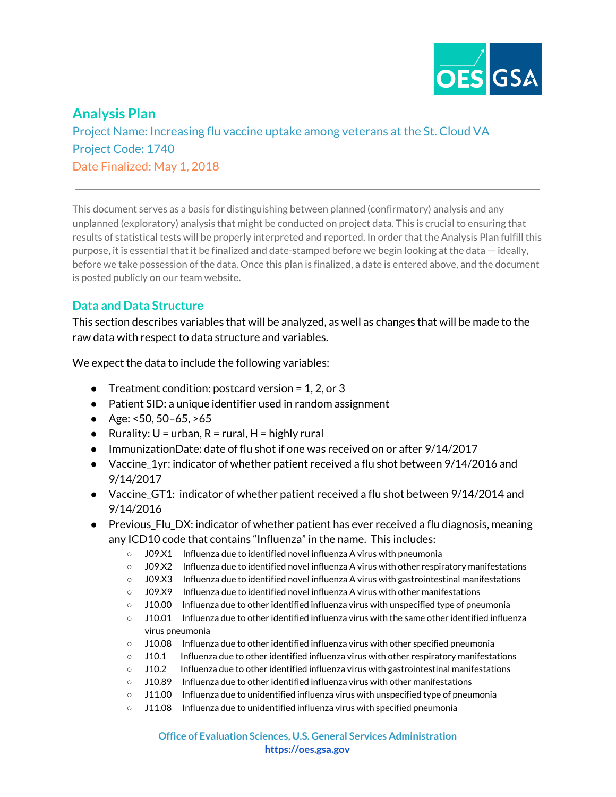

# **Analysis Plan**

Project Name: Increasing flu vaccine uptake among veterans at the St. Cloud VA Project Code: 1740 Date Finalized: May 1, 2018

This document serves as a basis for distinguishing between planned (confirmatory) analysis and any unplanned (exploratory) analysis that might be conducted on project data. This is crucial to ensuring that results of statistical tests will be properly interpreted and reported. In order that the Analysis Plan fulfill this purpose, it is essential that it be finalized and date-stamped before we begin looking at the data — ideally, before we take possession of the data. Once this plan is finalized, a date is entered above, and the document is posted publicly on our team website.

# **Data and Data Structure**

This section describes variables that will be analyzed, as well as changes that will be made to the raw data with respect to data structure and variables.

We expect the data to include the following variables:

- Treatment condition: postcard version =  $1, 2,$  or 3
- Patient SID: a unique identifier used in random assignment
- Age:  $<50, 50-65, >65$
- Rurality:  $U = urban$ ,  $R = rural$ ,  $H = highly rural$
- ImmunizationDate: date of flu shot if one was received on or after 9/14/2017
- Vaccine\_1yr: indicator of whether patient received a flu shot between 9/14/2016 and 9/14/2017
- Vaccine\_GT1: indicator of whether patient received a flu shot between 9/14/2014 and 9/14/2016
- Previous\_Flu\_DX: indicator of whether patient has ever received a flu diagnosis, meaning any ICD10 code that contains "Influenza" in the name. This includes:
	- J09.X1 Influenza due to identified novel influenza A virus with pneumonia
	- J09.X2 Influenza due to identified novel influenza A virus with other respiratory manifestations
	- J09.X3 Influenza due to identified novel influenza A virus with gastrointestinal manifestations
	- J09.X9 Influenza due to identified novel influenza A virus with other manifestations
	- $\circ$  J10.00 Influenza due to other identified influenza virus with unspecified type of pneumonia
	- $\circ$  J10.01 Influenza due to other identified influenza virus with the same other identified influenza virus pneumonia
	- J10.08 Influenza due to other identified influenza virus with other specified pneumonia
	- J10.1 Influenza due to other identified influenza virus with other respiratory manifestations
	- J10.2 Influenza due to other identified influenza virus with gastrointestinal manifestations
	- J10.89 Influenza due to other identified influenza virus with other manifestations
	- J11.00 Influenza due to unidentified influenza virus with unspecified type of pneumonia
	- J11.08 Influenza due to unidentified influenza virus with specified pneumonia

**Office of Evaluation Sciences, U.S. General Services Administration [https://oes.gsa.gov](https://oes.gsa.gov/)**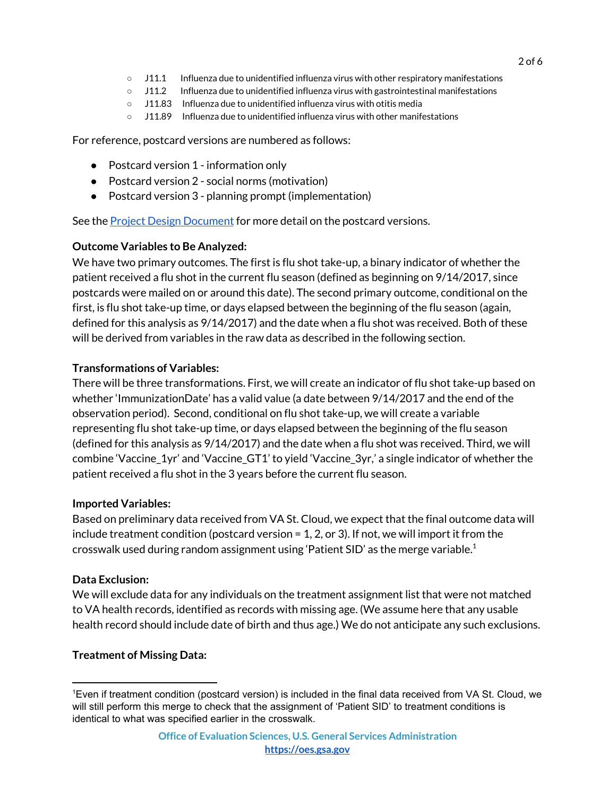- J11.1 Influenza due to unidentified influenza virus with other respiratory manifestations
- J11.2 Influenza due to unidentified influenza virus with gastrointestinal manifestations
- J11.83 Influenza due to unidentified influenza virus with otitis media
- $\circ$  J11.89 Influenza due to unidentified influenza virus with other manifestations

For reference, postcard versions are numbered as follows:

- Postcard version 1 information only
- Postcard version 2 social norms (motivation)
- Postcard version 3 planning prompt (implementation)

See the **Project Design [Document](https://drive.google.com/open?id=1wM17KQHDKIT1pS4DqVXaQ7xHxAuJ2Ino26K8fFhMx48)** for more detail on the postcard versions.

# **Outcome Variables to Be Analyzed:**

We have two primary outcomes. The first is flu shot take-up, a binary indicator of whether the patient received a flu shot in the current flu season (defined as beginning on 9/14/2017, since postcards were mailed on or around this date). The second primary outcome, conditional on the first, is flu shot take-up time, or days elapsed between the beginning of the flu season (again, defined for this analysis as 9/14/2017) and the date when a flu shot was received. Both of these will be derived from variables in the raw data as described in the following section.

# **Transformations of Variables:**

There will be three transformations. First, we will create an indicator of flu shot take-up based on whether 'ImmunizationDate' has a valid value (a date between 9/14/2017 and the end of the observation period). Second, conditional on flu shot take-up, we will create a variable representing flu shot take-up time, or days elapsed between the beginning of the flu season (defined for this analysis as 9/14/2017) and the date when a flu shot was received. Third, we will combine 'Vaccine\_1yr' and 'Vaccine\_GT1' to yield 'Vaccine\_3yr,' a single indicator of whether the patient received a flu shot in the 3 years before the current flu season.

### **Imported Variables:**

Based on preliminary data received from VA St. Cloud, we expect that the final outcome data will include treatment condition (postcard version = 1, 2, or 3). If not, we will import it from the crosswalk used during random assignment using 'Patient SID' as the merge variable. $^{\rm 1}$ 

### **Data Exclusion:**

We will exclude data for any individuals on the treatment assignment list that were not matched to VA health records, identified as records with missing age. (We assume here that any usable health record should include date of birth and thus age.) We do not anticipate any such exclusions.

# **Treatment of Missing Data:**

<sup>1</sup>Even if treatment condition (postcard version) is included in the final data received from VA St. Cloud, we will still perform this merge to check that the assignment of 'Patient SID' to treatment conditions is identical to what was specified earlier in the crosswalk.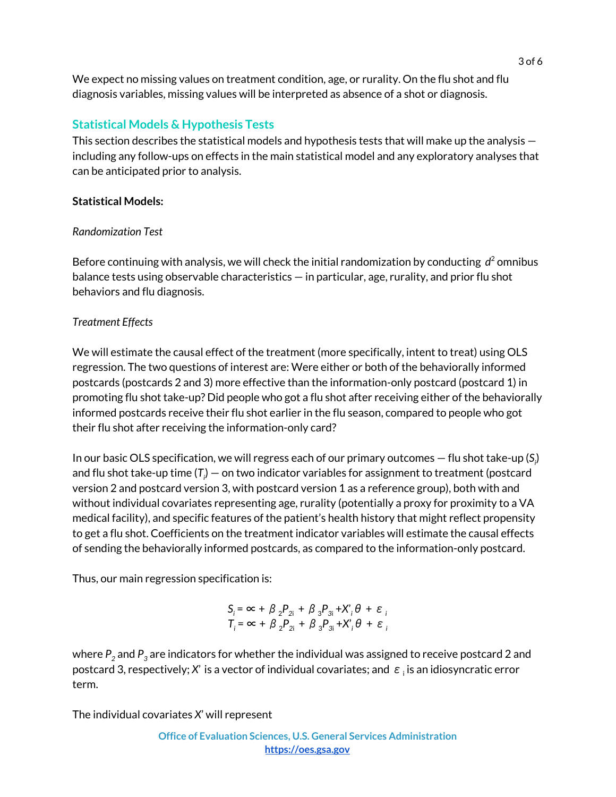We expect no missing values on treatment condition, age, or rurality. On the flu shot and flu diagnosis variables, missing values will be interpreted as absence of a shot or diagnosis.

# **Statistical Models & Hypothesis Tests**

This section describes the statistical models and hypothesis tests that will make up the analysis including any follow-ups on effects in the main statistical model and any exploratory analyses that can be anticipated prior to analysis.

### **Statistical Models:**

### *Randomization Test*

Before continuing with analysis, we will check the initial randomization by conducting *d* <sup>2</sup> omnibus balance tests using observable characteristics — in particular, age, rurality, and prior flu shot behaviors and flu diagnosis.

### *Treatment Effects*

We will estimate the causal effect of the treatment (more specifically, intent to treat) using OLS regression. The two questions of interest are: Were either or both of the behaviorally informed postcards (postcards 2 and 3) more effective than the information-only postcard (postcard 1) in promoting flu shot take-up? Did people who got a flu shot after receiving either of the behaviorally informed postcards receive their flu shot earlier in the flu season, compared to people who got their flu shot after receiving the information-only card?

In our basic OLS specification, we will regress each of our primary outcomes — flu shot take-up (*S<sup>i</sup>* ) and flu shot take-up time (T $_{\shortmid}$ ) — on two indicator variables for assignment to treatment (postcard version 2 and postcard version 3, with postcard version 1 as a reference group), both with and without individual covariates representing age, rurality (potentially a proxy for proximity to a VA medical facility), and specific features of the patient's health history that might reflect propensity to get a flu shot. Coefficients on the treatment indicator variables will estimate the causal effects of sending the behaviorally informed postcards, as compared to the information-only postcard.

Thus, our main regression specification is:

$$
S_i = \infty + \beta_2 P_{2i} + \beta_3 P_{3i} + X_i' \theta + \varepsilon_i
$$
  

$$
T_i = \infty + \beta_2 P_{2i} + \beta_3 P_{3i} + X_i' \theta + \varepsilon_i
$$

where  $P_2$  and  $P_3$  are indicators for whether the individual was assigned to receive postcard 2 and postcard 3, respectively;  $X'$  is a vector of individual covariates; and  $|\varepsilon|$  is an idiosyncratic error term.

The individual covariates *X*' will represent

**Office of Evaluation Sciences, U.S. General Services Administration [https://oes.gsa.gov](https://oes.gsa.gov/)**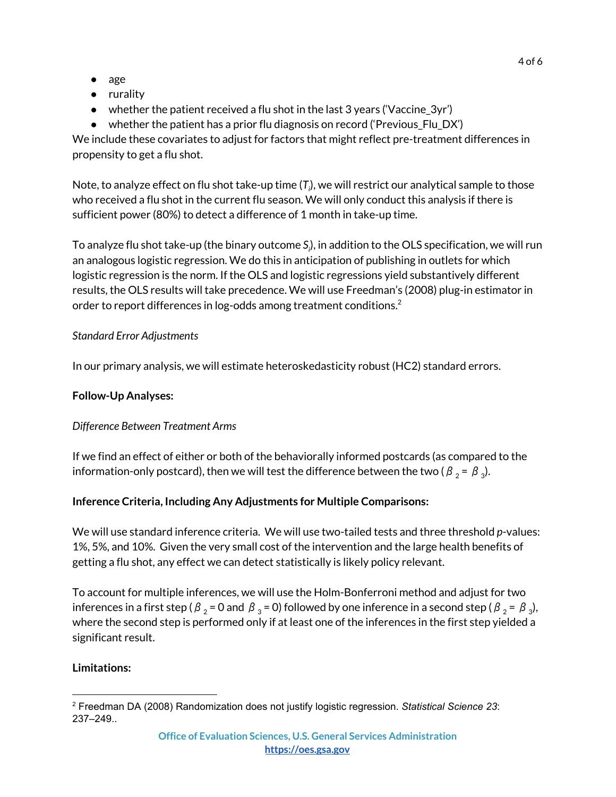- age
- rurality
- whether the patient received a flu shot in the last 3 years ('Vaccine\_3yr')
- whether the patient has a prior flu diagnosis on record ('Previous\_Flu\_DX')

We include these covariates to adjust for factors that might reflect pre-treatment differences in propensity to get a flu shot.

Note, to analyze effect on flu shot take-up time (*T<sup>i</sup>* ), we will restrict our analytical sample to those who received a flu shot in the current flu season. We will only conduct this analysis if there is sufficient power (80%) to detect a difference of 1 month in take-up time.

To analyze flu shot take-up (the binary outcome *S<sup>i</sup>* ), in addition to the OLS specification, we will run an analogous logistic regression. We do this in anticipation of publishing in outlets for which logistic regression is the norm. If the OLS and logistic regressions yield substantively different results, the OLS results will take precedence. We will use Freedman's (2008) plug-in estimator in order to report differences in log-odds among treatment conditions. $^{\text{2}}$ 

### *Standard Error Adjustments*

In our primary analysis, we will estimate heteroskedasticity robust (HC2) standard errors.

## **Follow-Up Analyses:**

# *Difference Between Treatment Arms*

If we find an effect of either or both of the behaviorally informed postcards (as compared to the information-only postcard), then we will test the difference between the two (  $\beta$   $_{2}$  =  $\,\beta$   $_{3}$ ).

# **Inference Criteria, Including Any Adjustments for Multiple Comparisons:**

We will use standard inference criteria. We will use two-tailed tests and three threshold *p*-values: 1%, 5%, and 10%. Given the very small cost of the intervention and the large health benefits of getting a flu shot, any effect we can detect statistically is likely policy relevant.

To account for multiple inferences, we will use the Holm-Bonferroni method and adjust for two inferences in a first step (  $\beta$   $_{2}$  = 0 and  $\,\beta$   $_{3}$  = 0) followed by one inference in a second step (  $\beta$   $_{2}$  =  $\,\beta$   $_{3}$ ), where the second step is performed only if at least one of the inferences in the first step yielded a significant result.

### **Limitations:**

<sup>2</sup> Freedman DA (2008) Randomization does not justify logistic regression. *Statistical Science 23*: 237–249..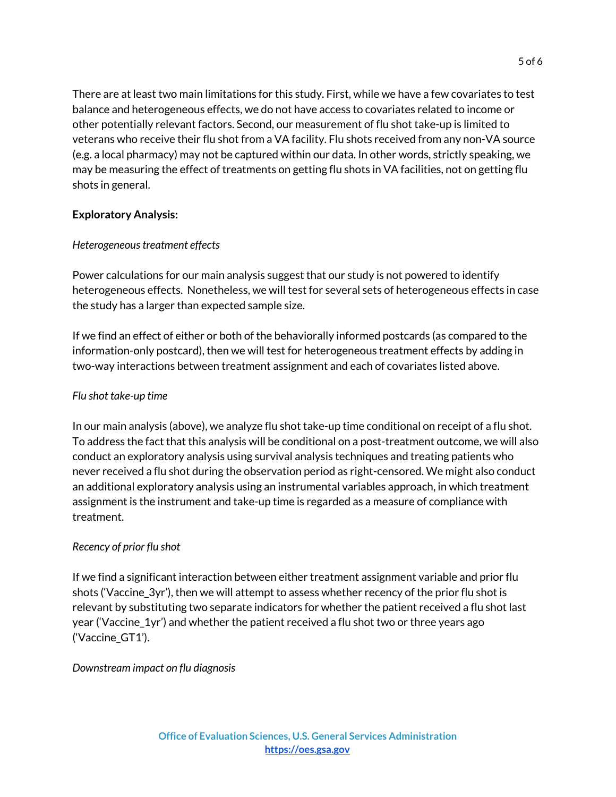There are at least two main limitations for this study. First, while we have a few covariates to test balance and heterogeneous effects, we do not have access to covariates related to income or other potentially relevant factors. Second, our measurement of flu shot take-up is limited to veterans who receive their flu shot from a VA facility. Flu shots received from any non-VA source (e.g. a local pharmacy) may not be captured within our data. In other words, strictly speaking, we may be measuring the effect of treatments on getting flu shots in VA facilities, not on getting flu shots in general.

### **Exploratory Analysis:**

### *Heterogeneoustreatment effects*

Power calculations for our main analysis suggest that our study is not powered to identify heterogeneous effects. Nonetheless, we will test for several sets of heterogeneous effects in case the study has a larger than expected sample size.

If we find an effect of either or both of the behaviorally informed postcards (as compared to the information-only postcard), then we will test for heterogeneous treatment effects by adding in two-way interactions between treatment assignment and each of covariates listed above.

### *Flu shot take-up time*

In our main analysis (above), we analyze flu shot take-up time conditional on receipt of a flu shot. To address the fact that this analysis will be conditional on a post-treatment outcome, we will also conduct an exploratory analysis using survival analysis techniques and treating patients who never received a flu shot during the observation period as right-censored. We might also conduct an additional exploratory analysis using an instrumental variables approach, in which treatment assignment is the instrument and take-up time is regarded as a measure of compliance with treatment.

#### *Recency of prior flu shot*

If we find a significant interaction between either treatment assignment variable and prior flu shots ('Vaccine\_3yr'), then we will attempt to assess whether recency of the prior flu shot is relevant by substituting two separate indicators for whether the patient received a flu shot last year ('Vaccine\_1yr') and whether the patient received a flu shot two or three years ago ('Vaccine\_GT1').

#### *Downstream impact on flu diagnosis*